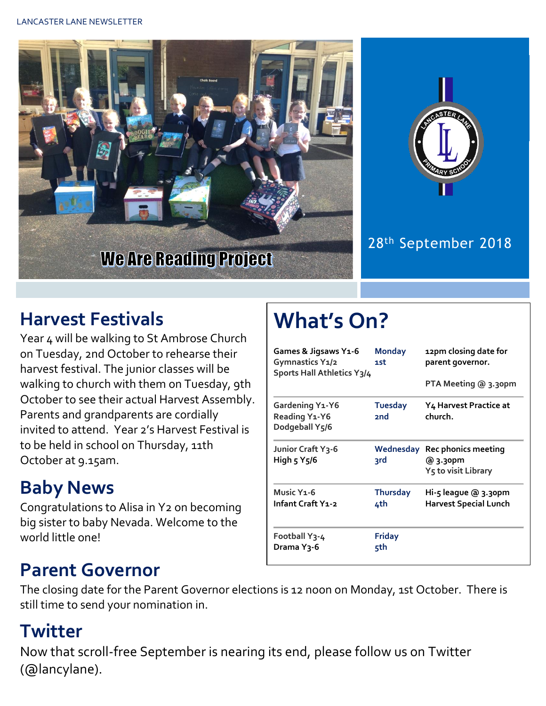



#### 28th September 2018

### **Harvest Festivals**

Year 4 will be walking to St Ambrose Church on Tuesday, 2nd October to rehearse their harvest festival. The junior classes will be walking to church with them on Tuesday, 9th October to see their actual Harvest Assembly. Parents and grandparents are cordially invited to attend. Year 2's Harvest Festival is to be held in school on Thursday, 11th October at 9.15am.

## **Baby News**

Congratulations to Alisa in Y2 on becoming big sister to baby Nevada. Welcome to the world little one!

# **What's On?**

| Games & Jigsaws Y1-6<br>Gymnastics Y1/2<br>Sports Hall Athletics Y3/4 | <b>Monday</b><br>1st       | 12pm closing date for<br>parent governor.                          |  |
|-----------------------------------------------------------------------|----------------------------|--------------------------------------------------------------------|--|
|                                                                       |                            | PTA Meeting @ 3.30pm                                               |  |
| <b>Gardening Y1-Y6</b><br>Reading Y1-Y6<br>Dodgeball Y5/6             | Tuesday<br>2 <sub>nd</sub> | Y4 Harvest Practice at<br>church.                                  |  |
| Junior Craft Y3-6<br>High 5 Y5/6                                      | Wednesday<br>3rd           | Rec phonics meeting<br>@ 3.30pm<br>Y <sub>5</sub> to visit Library |  |
| Music Y <sub>1</sub> -6<br>Infant Craft Y1-2                          | <b>Thursday</b><br>4th     | Hi-5 league @ 3.30pm<br><b>Harvest Special Lunch</b>               |  |
| Football Y3-4<br>Drama Y3-6                                           | <b>Friday</b><br>5th       |                                                                    |  |

#### **Parent Governor**

The closing date for the Parent Governor elections is 12 noon on Monday, 1st October. There is still time to send your nomination in.

#### **Twitter**

Now that scroll-free September is nearing its end, please follow us on Twitter (@lancylane).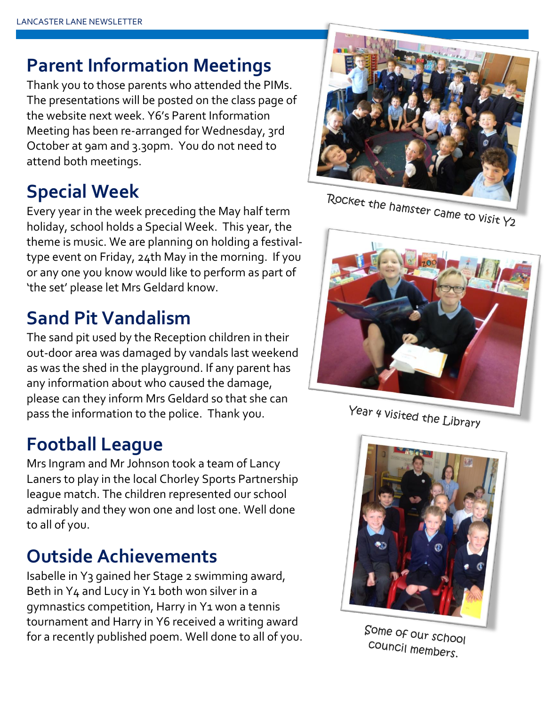#### **Parent Information Meetings**

Thank you to those parents who attended the PIMs. The presentations will be posted on the class page of the website next week. Y6's Parent Information Meeting has been re-arranged for Wednesday, 3rd October at 9am and 3.30pm. You do not need to attend both meetings.

## **Special Week**

Every year in the week preceding the May half term holiday, school holds a Special Week. This year, the theme is music. We are planning on holding a festivaltype event on Friday, 24th May in the morning. If you or any one you know would like to perform as part of 'the set' please let Mrs Geldard know.

### **Sand Pit Vandalism**

The sand pit used by the Reception children in their out-door area was damaged by vandals last weekend as was the shed in the playground. If any parent has any information about who caused the damage, please can they inform Mrs Geldard so that she can pass the information to the police. Thank you.

#### **Football League**

Mrs Ingram and Mr Johnson took a team of Lancy Laners to play in the local Chorley Sports Partnership league match. The children represented our school admirably and they won one and lost one. Well done to all of you.

#### **Outside Achievements**

Isabelle in Y3 gained her Stage 2 swimming award, Beth in Y4 and Lucy in Y1 both won silver in a gymnastics competition, Harry in Y1 won a tennis tournament and Harry in Y6 received a writing award for a recently published poem. Well done to all of you.



Rocket the hamster came to visit Y2



Year 4 visited the Library



Some of our school council members.